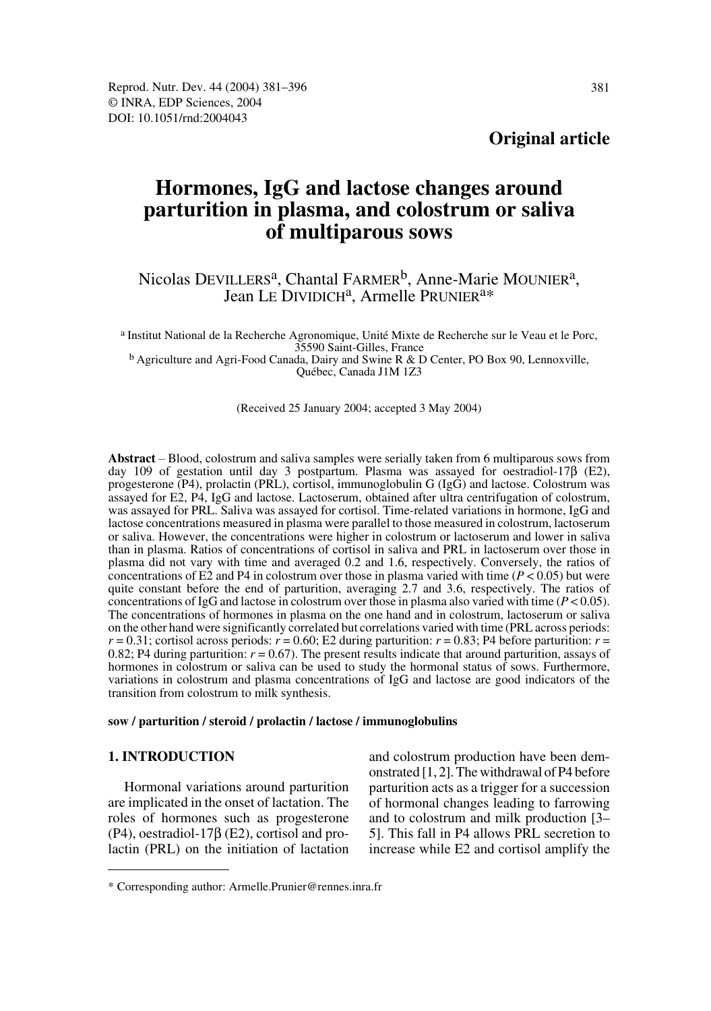## **Original article**

# **Hormones, IgG and lactose changes around parturition in plasma, and colostrum or saliva of multiparous sows**

## Nicolas DEVILLERS<sup>a</sup>, Chantal FARMER<sup>b</sup>, Anne-Marie MOUNIER<sup>a</sup>, Jean LE DIVIDICH<sup>a</sup>, Armelle PRUNIER<sup>a\*</sup>

a Institut National de la Recherche Agronomique, Unité Mixte de Recherche sur le Veau et le Porc, 35590 Saint-Gilles, France b Agriculture and Agri-Food Canada, Dairy and Swine R & D Center, PO Box 90, Lennoxville,

Québec, Canada J1M 1Z3

(Received 25 January 2004; accepted 3 May 2004)

**Abstract** – Blood, colostrum and saliva samples were serially taken from 6 multiparous sows from day 109 of gestation until day 3 postpartum. Plasma was assayed for oestradiol-17β (E2), progesterone (P4), prolactin (PRL), cortisol, immunoglobulin G (IgG) and lactose. Colostrum was assayed for E2, P4, IgG and lactose. Lactoserum, obtained after ultra centrifugation of colostrum, was assayed for PRL. Saliva was assayed for cortisol. Time-related variations in hormone, IgG and lactose concentrations measured in plasma were parallel to those measured in colostrum, lactoserum or saliva. However, the concentrations were higher in colostrum or lactoserum and lower in saliva than in plasma. Ratios of concentrations of cortisol in saliva and PRL in lactoserum over those in plasma did not vary with time and averaged 0.2 and 1.6, respectively. Conversely, the ratios of concentrations of E2 and P4 in colostrum over those in plasma varied with time  $(P < 0.05)$  but were quite constant before the end of parturition, averaging 2.7 and 3.6, respectively. The ratios of concentrations of IgG and lactose in colostrum over those in plasma also varied with time  $(P < 0.05)$ . The concentrations of hormones in plasma on the one hand and in colostrum, lactoserum or saliva on the other hand were significantly correlated but correlations varied with time (PRL across periods:  $r = 0.31$ ; cortisol across periods:  $r = 0.60$ ; E2 during parturition:  $r = 0.83$ ; P4 before parturition:  $r =$ 0.82; P4 during parturition:  $r = 0.67$ ). The present results indicate that around parturition, assays of hormones in colostrum or saliva can be used to study the hormonal status of sows. Furthermore, variations in colostrum and plasma concentrations of IgG and lactose are good indicators of the transition from colostrum to milk synthesis.

**sow / parturition / steroid / prolactin / lactose / immunoglobulins**

## **1. INTRODUCTION**

Hormonal variations around parturition are implicated in the onset of lactation. The roles of hormones such as progesterone (P4), oestradiol-17β (E2), cortisol and prolactin (PRL) on the initiation of lactation and colostrum production have been demonstrated [1, 2]. The withdrawal of P4 before parturition acts as a trigger for a succession of hormonal changes leading to farrowing and to colostrum and milk production [3– 5]. This fall in P4 allows PRL secretion to increase while E2 and cortisol amplify the

<sup>\*</sup> Corresponding author: Armelle.Prunier@rennes.inra.fr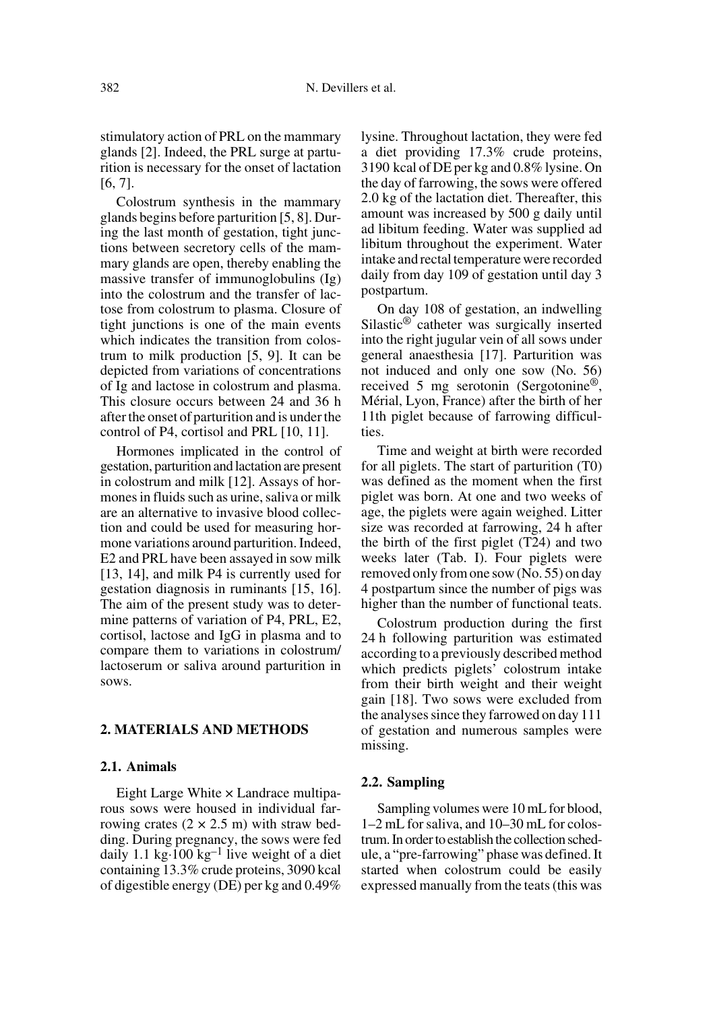stimulatory action of PRL on the mammary glands [2]. Indeed, the PRL surge at parturition is necessary for the onset of lactation [6, 7].

Colostrum synthesis in the mammary glands begins before parturition [5, 8]. During the last month of gestation, tight junctions between secretory cells of the mammary glands are open, thereby enabling the massive transfer of immunoglobulins (Ig) into the colostrum and the transfer of lactose from colostrum to plasma. Closure of tight junctions is one of the main events which indicates the transition from colostrum to milk production [5, 9]. It can be depicted from variations of concentrations of Ig and lactose in colostrum and plasma. This closure occurs between 24 and 36 h after the onset of parturition and is under the control of P4, cortisol and PRL [10, 11].

Hormones implicated in the control of gestation, parturition and lactation are present in colostrum and milk [12]. Assays of hormones in fluids such as urine, saliva or milk are an alternative to invasive blood collection and could be used for measuring hormone variations around parturition. Indeed, E2 and PRL have been assayed in sow milk [13, 14], and milk P4 is currently used for gestation diagnosis in ruminants [15, 16]. The aim of the present study was to determine patterns of variation of P4, PRL, E2, cortisol, lactose and IgG in plasma and to compare them to variations in colostrum/ lactoserum or saliva around parturition in sows.

## **2. MATERIALS AND METHODS**

## **2.1. Animals**

Eight Large White  $\times$  Landrace multiparous sows were housed in individual farrowing crates  $(2 \times 2.5 \text{ m})$  with straw bedding. During pregnancy, the sows were fed daily 1.1 kg $\cdot$ 100 kg<sup>-1</sup> live weight of a diet containing 13.3% crude proteins, 3090 kcal of digestible energy (DE) per kg and 0.49%

lysine. Throughout lactation, they were fed a diet providing 17.3% crude proteins, 3190 kcal of DE per kg and 0.8% lysine. On the day of farrowing, the sows were offered 2.0 kg of the lactation diet. Thereafter, this amount was increased by 500 g daily until ad libitum feeding. Water was supplied ad libitum throughout the experiment. Water intake and rectal temperature were recorded daily from day 109 of gestation until day 3 postpartum.

On day 108 of gestation, an indwelling Silastic® catheter was surgically inserted into the right jugular vein of all sows under general anaesthesia [17]. Parturition was not induced and only one sow (No. 56) received 5 mg serotonin (Sergotonine®, Mérial, Lyon, France) after the birth of her 11th piglet because of farrowing difficulties.

Time and weight at birth were recorded for all piglets. The start of parturition (T0) was defined as the moment when the first piglet was born. At one and two weeks of age, the piglets were again weighed. Litter size was recorded at farrowing, 24 h after the birth of the first piglet (T24) and two weeks later (Tab. I). Four piglets were removed only from one sow (No. 55) on day 4 postpartum since the number of pigs was higher than the number of functional teats.

Colostrum production during the first 24 h following parturition was estimated according to a previously described method which predicts piglets' colostrum intake from their birth weight and their weight gain [18]. Two sows were excluded from the analyses since they farrowed on day 111 of gestation and numerous samples were missing.

#### **2.2. Sampling**

Sampling volumes were 10 mL for blood, 1–2 mL for saliva, and 10–30 mL for colostrum. In order to establish the collection schedule, a "pre-farrowing" phase was defined. It started when colostrum could be easily expressed manually from the teats (this was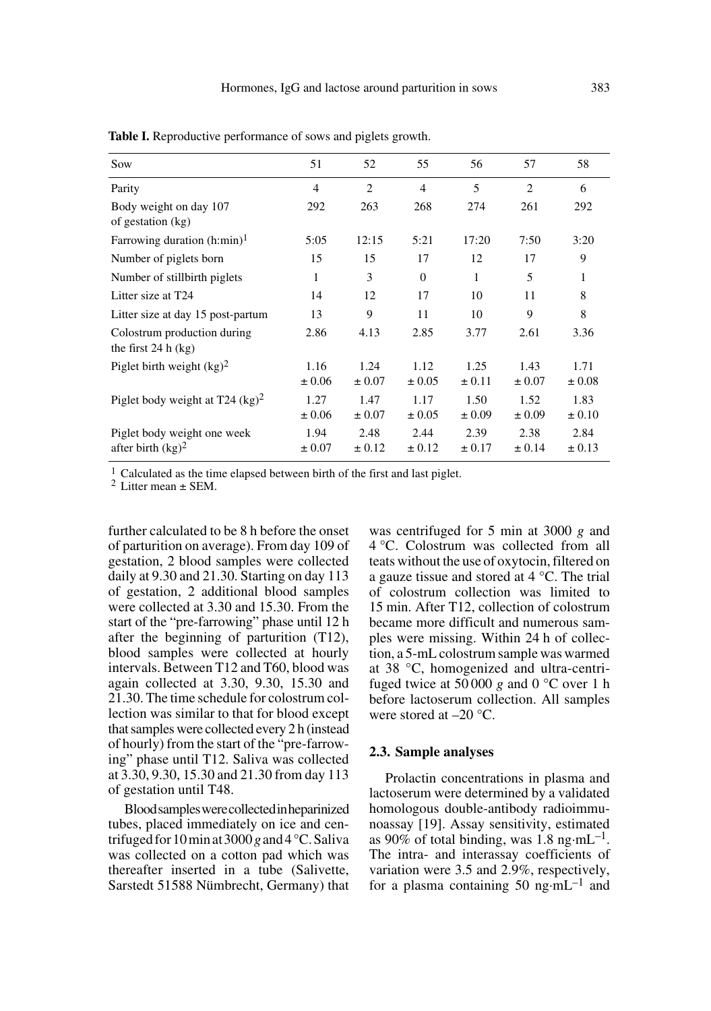| Sow                                                  | 51                 | 52                          | 55                 | 56                 | 57                 | 58                 |
|------------------------------------------------------|--------------------|-----------------------------|--------------------|--------------------|--------------------|--------------------|
| Parity                                               | $\overline{4}$     | $\mathcal{D}_{\mathcal{L}}$ | $\overline{4}$     | 5                  | $\mathfrak{D}$     | 6                  |
| Body weight on day 107<br>of gestation (kg)          | 292                | 263                         | 268                | 274                | 261                | 292                |
| Farrowing duration $(h:min)^1$                       | 5:05               | 12:15                       | 5:21               | 17:20              | 7:50               | 3:20               |
| Number of piglets born                               | 15                 | 15                          | 17                 | 12                 | 17                 | 9                  |
| Number of stillbirth piglets                         | 1                  | 3                           | $\Omega$           | 1                  | 5                  | 1                  |
| Litter size at T24                                   | 14                 | 12                          | 17                 | 10                 | 11                 | 8                  |
| Litter size at day 15 post-partum                    | 13                 | 9                           | 11                 | 10                 | 9                  | 8                  |
| Colostrum production during<br>the first $24 h (kg)$ | 2.86               | 4.13                        | 2.85               | 3.77               | 2.61               | 3.36               |
| Piglet birth weight $(kg)^2$                         | 1.16               | 1.24                        | 1.12               | 1.25               | 1.43               | 1.71               |
|                                                      | $\pm 0.06$         | $\pm 0.07$                  | $\pm 0.05$         | $\pm 0.11$         | $\pm 0.07$         | $\pm 0.08$         |
| Piglet body weight at T24 $(kg)^2$                   | 1.27<br>± 0.06     | 1.47<br>$\pm 0.07$          | 1.17<br>$\pm 0.05$ | 1.50<br>$\pm 0.09$ | 1.52<br>$\pm 0.09$ | 1.83<br>$\pm 0.10$ |
| Piglet body weight one week<br>after birth $(kg)^2$  | 1.94<br>$\pm 0.07$ | 2.48<br>$\pm 0.12$          | 2.44<br>$\pm 0.12$ | 2.39<br>$\pm 0.17$ | 2.38<br>$\pm 0.14$ | 2.84<br>$\pm 0.13$ |

Table I. Reproductive performance of sows and piglets growth.

<sup>1</sup> Calculated as the time elapsed between birth of the first and last piglet.<br><sup>2</sup> Litter mean  $\pm$  SEM.

further calculated to be 8 h before the onset of parturition on average). From day 109 of gestation, 2 blood samples were collected daily at 9.30 and 21.30. Starting on day 113 of gestation, 2 additional blood samples were collected at 3.30 and 15.30. From the start of the "pre-farrowing" phase until 12 h after the beginning of parturition (T12), blood samples were collected at hourly intervals. Between T12 and T60, blood was again collected at 3.30, 9.30, 15.30 and 21.30. The time schedule for colostrum collection was similar to that for blood except that samples were collected every 2 h (instead of hourly) from the start of the "pre-farrowing" phase until T12. Saliva was collected at 3.30, 9.30, 15.30 and 21.30 from day 113 of gestation until T48.

Blood samples were collected in heparinized tubes, placed immediately on ice and centrifuged for 10 min at 3000 *g* and 4 °C. Saliva was collected on a cotton pad which was thereafter inserted in a tube (Salivette, Sarstedt 51588 Nümbrecht, Germany) that was centrifuged for 5 min at 3000 *g* and 4 °C. Colostrum was collected from all teats without the use of oxytocin, filtered on a gauze tissue and stored at 4 °C. The trial of colostrum collection was limited to 15 min. After T12, collection of colostrum became more difficult and numerous samples were missing. Within 24 h of collection, a 5-mL colostrum sample was warmed at 38 °C, homogenized and ultra-centrifuged twice at 50 000 *g* and 0 °C over 1 h before lactoserum collection. All samples were stored at  $-20$  °C.

## **2.3. Sample analyses**

Prolactin concentrations in plasma and lactoserum were determined by a validated homologous double-antibody radioimmunoassay [19]. Assay sensitivity, estimated as 90% of total binding, was 1.8 ng·mL<sup>-1</sup>. The intra- and interassay coefficients of variation were 3.5 and 2.9%, respectively, for a plasma containing 50 ng·mL<sup>-1</sup> and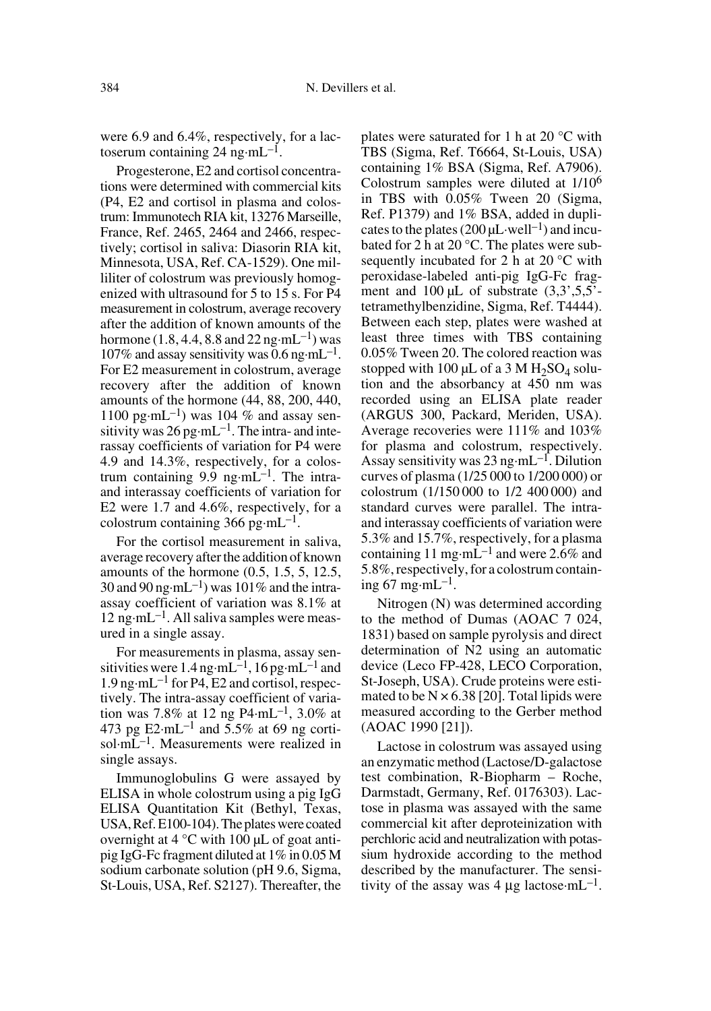were 6.9 and 6.4%, respectively, for a lactoserum containing 24 ng·m $L^{-1}$ .

Progesterone, E2 and cortisol concentrations were determined with commercial kits (P4, E2 and cortisol in plasma and colostrum: Immunotech RIA kit, 13276 Marseille, France, Ref. 2465, 2464 and 2466, respectively; cortisol in saliva: Diasorin RIA kit, Minnesota, USA, Ref. CA-1529). One milliliter of colostrum was previously homogenized with ultrasound for 5 to 15 s. For P4 measurement in colostrum, average recovery after the addition of known amounts of the hormone (1.8, 4.4, 8.8 and  $22 \text{ ng} \cdot \text{m} \text{L}^{-1}$ ) was 107% and assay sensitivity was 0.6 ng·mL<sup>-1</sup>. For E2 measurement in colostrum, average recovery after the addition of known amounts of the hormone (44, 88, 200, 440, 1100 pg·mL<sup>-1</sup>) was 104 % and assay sensitivity was  $26 \text{ pg} \cdot \text{mL}^{-1}$ . The intra- and interassay coefficients of variation for P4 were 4.9 and 14.3%, respectively, for a colostrum containing  $9.\overline{9}$  ng·mL<sup>-1</sup>. The intraand interassay coefficients of variation for E2 were 1.7 and 4.6%, respectively, for a colostrum containing 366 pg·mL<sup>-1</sup>.

For the cortisol measurement in saliva, average recovery after the addition of known amounts of the hormone (0.5, 1.5, 5, 12.5, 30 and 90 ng·mL<sup>-1</sup>) was 101% and the intraassay coefficient of variation was 8.1% at  $12$  ng·mL<sup>-1</sup>. All saliva samples were measured in a single assay.

For measurements in plasma, assay sensitivities were  $1.4$  ng·mL<sup>-1</sup>, 16 pg·mL<sup>-1</sup> and 1.9 ng·mL<sup>-1</sup> for P4, E2 and cortisol, respectively. The intra-assay coefficient of variation was 7.8% at 12 ng P4·mL<sup>-1</sup>, 3.0% at 473 pg  $E2 \cdot mL^{-1}$  and 5.5% at 69 ng cortisol·mL–1. Measurements were realized in single assays.

Immunoglobulins G were assayed by ELISA in whole colostrum using a pig IgG ELISA Quantitation Kit (Bethyl, Texas, USA, Ref. E100-104). The plates were coated overnight at  $4^{\circ}$ C with 100 µL of goat antipig IgG-Fc fragment diluted at 1% in 0.05 M sodium carbonate solution (pH 9.6, Sigma, St-Louis, USA, Ref. S2127). Thereafter, the plates were saturated for 1 h at 20 °C with TBS (Sigma, Ref. T6664, St-Louis, USA) containing 1% BSA (Sigma, Ref. A7906). Colostrum samples were diluted at 1/106 in TBS with 0.05% Tween 20 (Sigma, Ref. P1379) and 1% BSA, added in duplicates to the plates  $(200 \,\mu\mathrm{L} \cdot \mathrm{well}^{-1})$  and incubated for 2 h at 20 °C. The plates were subsequently incubated for 2 h at 20 °C with peroxidase-labeled anti-pig IgG-Fc fragment and  $100 \mu L$  of substrate  $(3,3,5,5)$ <sup>-</sup>tetramethylbenzidine, Sigma, Ref. T4444). Between each step, plates were washed at least three times with TBS containing 0.05% Tween 20. The colored reaction was stopped with 100  $\mu$ L of a 3 M H<sub>2</sub>SO<sub>4</sub> solution and the absorbancy at 450 nm was recorded using an ELISA plate reader (ARGUS 300, Packard, Meriden, USA). Average recoveries were 111% and 103% for plasma and colostrum, respectively. Assay sensitivity was  $23 \text{ ng} \cdot \text{m} \text{L}^{-1}$ . Dilution curves of plasma (1/25 000 to 1/200 000) or colostrum (1/150 000 to 1/2 400 000) and standard curves were parallel. The intraand interassay coefficients of variation were 5.3% and 15.7%, respectively, for a plasma containing 11 mg·mL<sup>-1</sup> and were 2.6% and 5.8%, respectively, for a colostrum containing 67 mg·m $L^{-1}$ .

Nitrogen (N) was determined according to the method of Dumas (AOAC 7 024, 1831) based on sample pyrolysis and direct determination of N2 using an automatic device (Leco FP-428, LECO Corporation, St-Joseph, USA). Crude proteins were estimated to be  $N \times 6.38$  [20]. Total lipids were measured according to the Gerber method (AOAC 1990 [21]).

Lactose in colostrum was assayed using an enzymatic method (Lactose/D-galactose test combination, R-Biopharm – Roche, Darmstadt, Germany, Ref. 0176303). Lactose in plasma was assayed with the same commercial kit after deproteinization with perchloric acid and neutralization with potassium hydroxide according to the method described by the manufacturer. The sensitivity of the assay was 4  $\mu$ g lactose $mL^{-1}$ .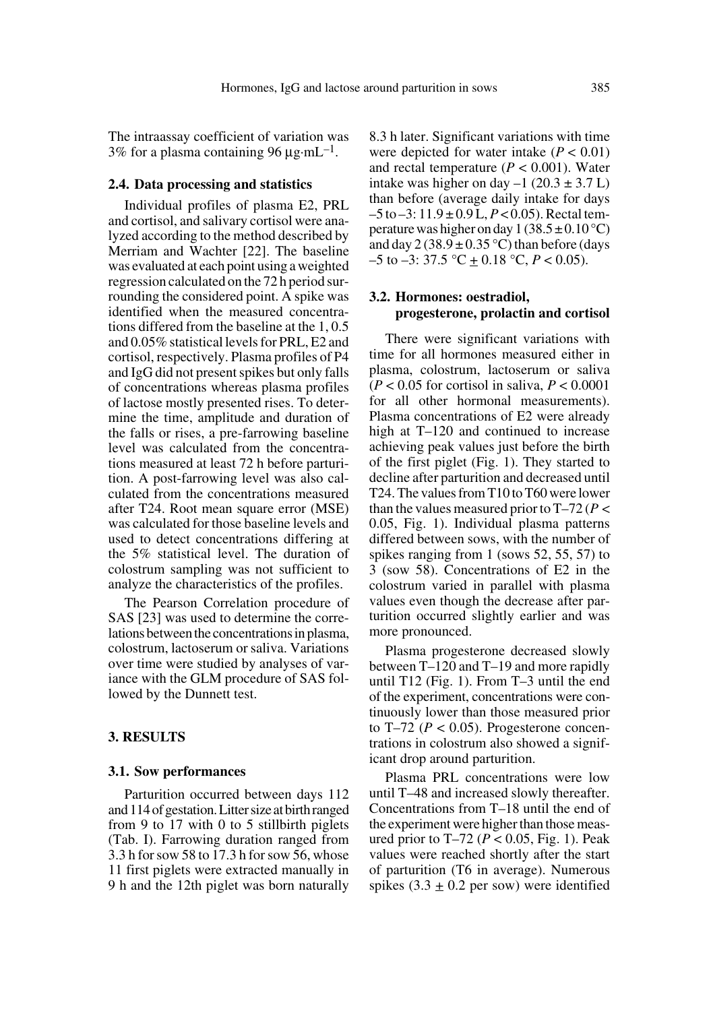The intraassay coefficient of variation was 3% for a plasma containing 96  $\mu$ g·mL<sup>-1</sup>.

#### **2.4. Data processing and statistics**

Individual profiles of plasma E2, PRL and cortisol, and salivary cortisol were analyzed according to the method described by Merriam and Wachter [22]. The baseline was evaluated at each point using a weighted regression calculated on the 72 h period surrounding the considered point. A spike was identified when the measured concentrations differed from the baseline at the 1, 0.5 and 0.05% statistical levels for PRL, E2 and cortisol, respectively. Plasma profiles of P4 and IgG did not present spikes but only falls of concentrations whereas plasma profiles of lactose mostly presented rises. To determine the time, amplitude and duration of the falls or rises, a pre-farrowing baseline level was calculated from the concentrations measured at least 72 h before parturition. A post-farrowing level was also calculated from the concentrations measured after T24. Root mean square error (MSE) was calculated for those baseline levels and used to detect concentrations differing at the 5% statistical level. The duration of colostrum sampling was not sufficient to analyze the characteristics of the profiles.

The Pearson Correlation procedure of SAS [23] was used to determine the correlations between the concentrations in plasma, colostrum, lactoserum or saliva. Variations over time were studied by analyses of variance with the GLM procedure of SAS followed by the Dunnett test.

## **3. RESULTS**

#### **3.1. Sow performances**

Parturition occurred between days 112 and 114 of gestation. Litter size at birth ranged from 9 to 17 with 0 to 5 stillbirth piglets (Tab. I). Farrowing duration ranged from 3.3 h for sow 58 to 17.3 h for sow 56, whose 11 first piglets were extracted manually in 9 h and the 12th piglet was born naturally

8.3 h later. Significant variations with time were depicted for water intake  $(P < 0.01)$ and rectal temperature (*P* < 0.001). Water intake was higher on day  $-1$  (20.3  $\pm$  3.7 L) than before (average daily intake for days –5 to –3: 11.9 ± 0.9 L, *P* < 0.05). Rectal temperature was higher on day  $1(38.5 \pm 0.10 \degree C)$ and day  $2(38.9 \pm 0.35 \degree C)$  than before (days  $-5$  to  $-3$ : 37.5 °C  $\pm$  0.18 °C,  $P < 0.05$ ).

## **3.2. Hormones: oestradiol, progesterone, prolactin and cortisol**

There were significant variations with time for all hormones measured either in plasma, colostrum, lactoserum or saliva  $(P < 0.05$  for cortisol in saliva,  $P < 0.0001$ for all other hormonal measurements). Plasma concentrations of E2 were already high at T–120 and continued to increase achieving peak values just before the birth of the first piglet (Fig. 1). They started to decline after parturition and decreased until T24. The values from T10 to T60 were lower than the values measured prior to  $T-72 (P \le$ 0.05, Fig. 1). Individual plasma patterns differed between sows, with the number of spikes ranging from 1 (sows 52, 55, 57) to 3 (sow 58). Concentrations of E2 in the colostrum varied in parallel with plasma values even though the decrease after parturition occurred slightly earlier and was more pronounced.

Plasma progesterone decreased slowly between T–120 and T–19 and more rapidly until T12 (Fig. 1). From T–3 until the end of the experiment, concentrations were continuously lower than those measured prior to T $-72$  ( $P < 0.05$ ). Progesterone concentrations in colostrum also showed a significant drop around parturition.

Plasma PRL concentrations were low until T–48 and increased slowly thereafter. Concentrations from T–18 until the end of the experiment were higher than those measured prior to T–72 (*P* < 0.05, Fig. 1). Peak values were reached shortly after the start of parturition (T6 in average). Numerous spikes  $(3.3 \pm 0.2 \text{ per sow})$  were identified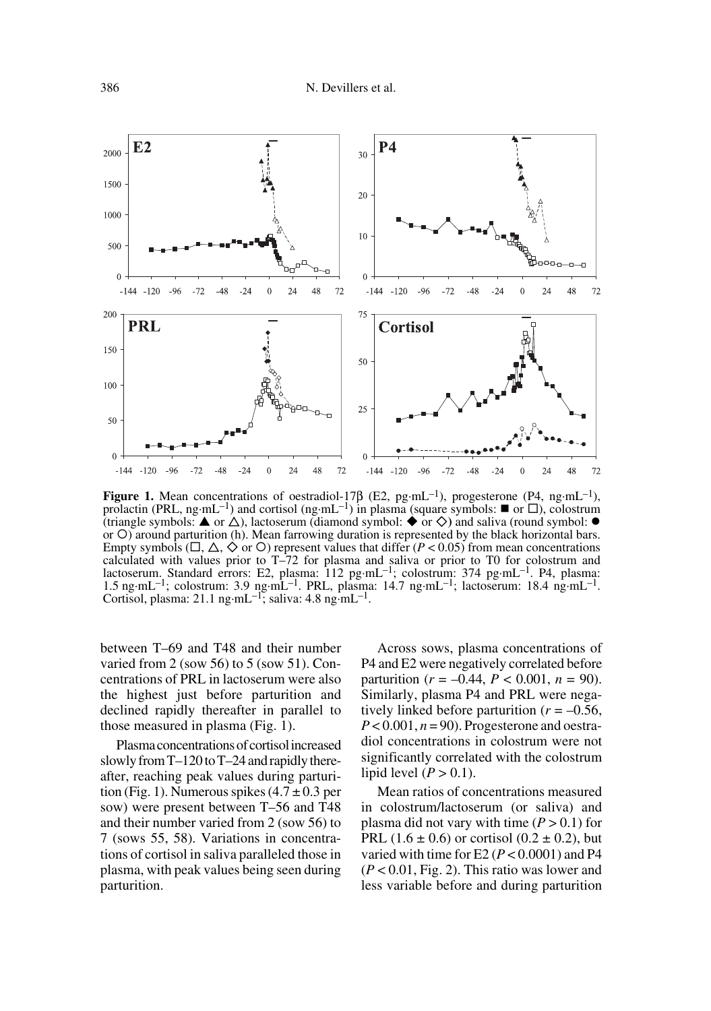

**Figure 1.** Mean concentrations of oestradiol-17 $\beta$  (E2, pg·mL<sup>-1</sup>), progesterone (P4, ng·mL<sup>-1</sup>), prolactin (PRL, ng·mL<sup>-1</sup>) and cortisol (ng·mL<sup>-1</sup>) in plasma (square symbols:  $\blacksquare$  or  $\square$ ), colostrum (triangle symbols:  $\blacktriangle$  or  $\triangle$ ), lactoserum (diamond symbol:  $\blacklozenge$  or  $\diamondsuit$ ) and saliva (round symbol:  $\blacklozenge$ or O) around parturition (h). Mean farrowing duration is represented by the black horizontal bars. Empty symbols ( $\Box$ ,  $\triangle$ ,  $\Diamond$  or  $\circ$ ) represent values that differ (*P* < 0.05) from mean concentrations calculated with values prior to T–72 for plasma and saliva or prior to T0 for colostrum and lactoserum. Standard errors: E2, plasma: 112 pg·mL<sup>-1</sup>; colostrum: 374 pg·mL<sup>-1</sup>. P4, plasma: 1.5 ng·mL–1; colostrum: 3.9 ng·mL–1. PRL, plasma: 14.7 ng·mL–1; lactoserum: 18.4 ng·mL–1. Cortisol, plasma: 21.1 ng·mL–1; saliva: 4.8 ng·mL–1.

between T–69 and T48 and their number varied from 2 (sow 56) to 5 (sow 51). Concentrations of PRL in lactoserum were also the highest just before parturition and declined rapidly thereafter in parallel to those measured in plasma (Fig. 1).

Plasma concentrations of cortisol increased slowly from T–120 to T–24 and rapidly thereafter, reaching peak values during parturition (Fig. 1). Numerous spikes  $(4.7 \pm 0.3$  per sow) were present between T–56 and T48 and their number varied from 2 (sow 56) to 7 (sows 55, 58). Variations in concentrations of cortisol in saliva paralleled those in plasma, with peak values being seen during parturition.

Across sows, plasma concentrations of P4 and E2 were negatively correlated before parturition ( $r = -0.44$ ,  $P < 0.001$ ,  $n = 90$ ). Similarly, plasma P4 and PRL were negatively linked before parturition  $(r = -0.56)$ ,  $P < 0.001$ ,  $n = 90$ ). Progesterone and oestradiol concentrations in colostrum were not significantly correlated with the colostrum lipid level  $(P > 0.1)$ .

Mean ratios of concentrations measured in colostrum/lactoserum (or saliva) and plasma did not vary with time  $(P > 0.1)$  for PRL (1.6  $\pm$  0.6) or cortisol (0.2  $\pm$  0.2), but varied with time for E2 ( $P < 0.0001$ ) and P4 (*P* < 0.01, Fig. 2). This ratio was lower and less variable before and during parturition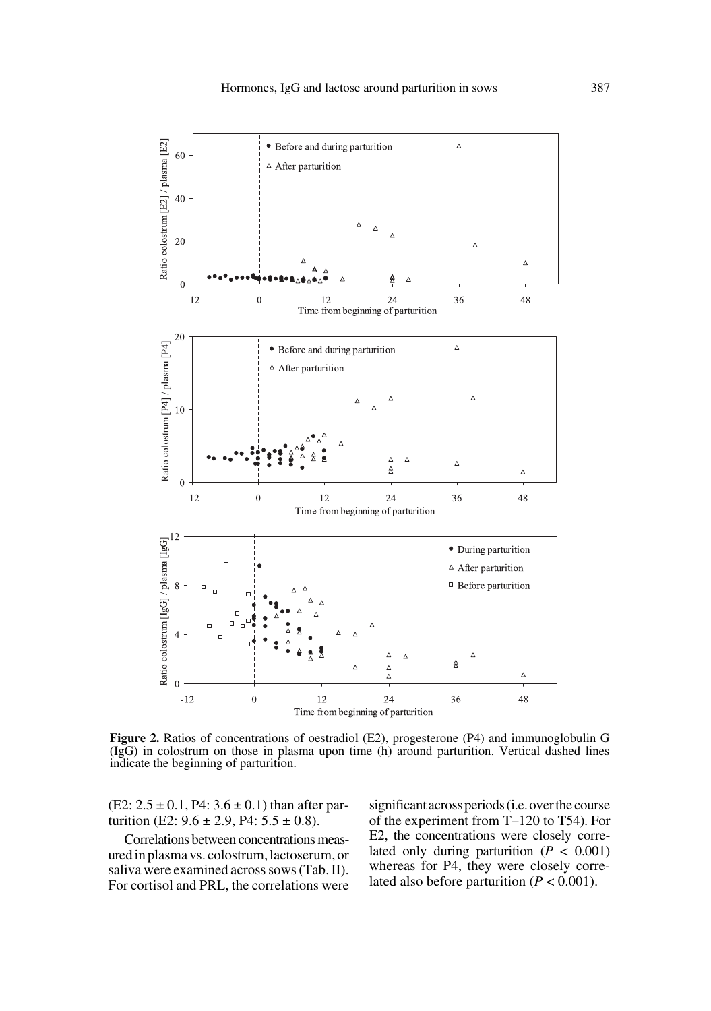

**Figure 2.** Ratios of concentrations of oestradiol (E2), progesterone (P4) and immunoglobulin G (IgG) in colostrum on those in plasma upon time (h) around parturition. Vertical dashed lines indicate the beginning of parturition.

 $(E2: 2.5 \pm 0.1, P4: 3.6 \pm 0.1)$  than after parturition (E2:  $9.6 \pm 2.9$ , P4:  $5.5 \pm 0.8$ ).

Correlations between concentrations measured in plasma vs. colostrum, lactoserum, or saliva were examined across sows (Tab. II). For cortisol and PRL, the correlations were significant across periods (i.e. over the course of the experiment from T–120 to T54). For E2, the concentrations were closely correlated only during parturition  $(P < 0.001)$ whereas for P4, they were closely correlated also before parturition  $(P < 0.001)$ .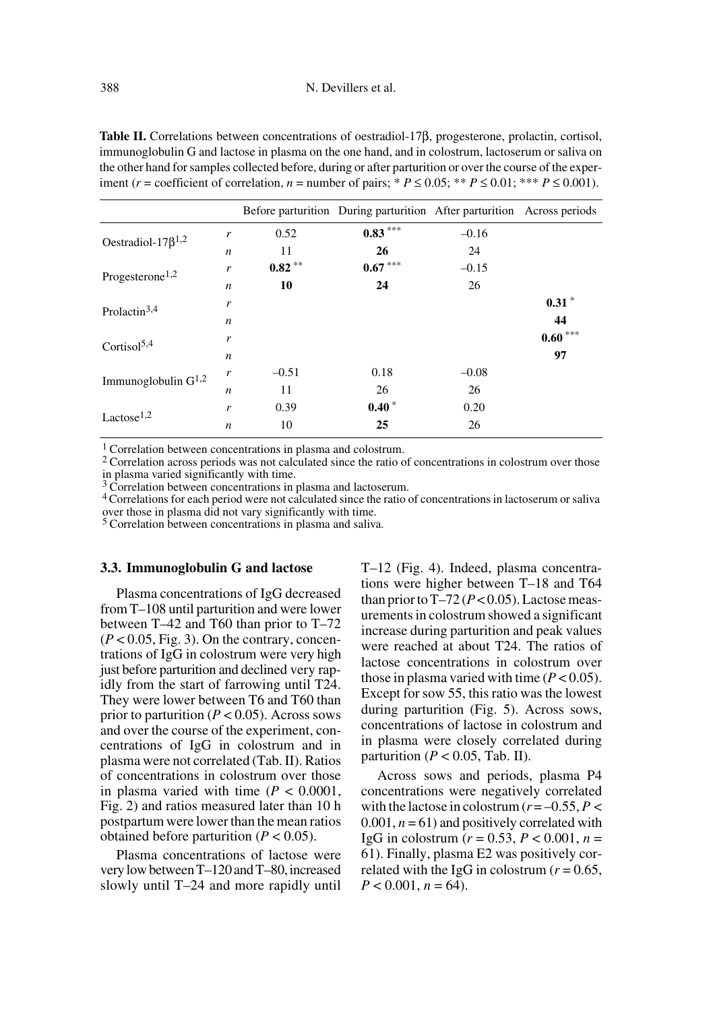**Table II.** Correlations between concentrations of oestradiol-17β, progesterone, prolactin, cortisol, immunoglobulin G and lactose in plasma on the one hand, and in colostrum, lactoserum or saliva on the other hand for samples collected before, during or after parturition or over the course of the experiment ( $r =$  coefficient of correlation,  $n =$  number of pairs; \*  $P \le 0.05$ ; \*\*  $P \le 0.01$ ; \*\*\*  $P \le 0.001$ ).

|                             |                  |          | Before parturition During parturition After parturition Across periods |         |           |
|-----------------------------|------------------|----------|------------------------------------------------------------------------|---------|-----------|
| Oestradiol-17 $\beta^{1,2}$ | r                | 0.52     | $0.83***$                                                              | $-0.16$ |           |
|                             | $\boldsymbol{n}$ | 11       | 26                                                                     | 24      |           |
| Progesterone <sup>1,2</sup> | r                | $0.82**$ | $0.67***$                                                              | $-0.15$ |           |
|                             | $\boldsymbol{n}$ | 10       | 24                                                                     | 26      |           |
| Prolactin <sup>3,4</sup>    | r                |          |                                                                        |         | $0.31*$   |
|                             | $\boldsymbol{n}$ |          |                                                                        |         | 44        |
| Cortisol $5,4$              | r                |          |                                                                        |         | $0.60***$ |
|                             | $\boldsymbol{n}$ |          |                                                                        |         | 97        |
| Immunoglobulin $G^{1,2}$    | r                | $-0.51$  | 0.18                                                                   | $-0.08$ |           |
|                             | $\boldsymbol{n}$ | 11       | 26                                                                     | 26      |           |
| Lactose <sup>1,2</sup>      | r                | 0.39     | $0.40*$                                                                | 0.20    |           |
|                             | $\boldsymbol{n}$ | 10       | 25                                                                     | 26      |           |

<sup>1</sup> Correlation between concentrations in plasma and colostrum.<br><sup>2</sup> Correlation across periods was not calculated since the ratio of concentrations in colostrum over those in plasma varied significantly with time.<br> $3$  Correlation between concentrations in plasma and lactoserum.

<sup>4</sup> Correlations for each period were not calculated since the ratio of concentrations in lactoserum or saliva over those in plasma did not vary significantly with time.

<sup>5</sup> Correlation between concentrations in plasma and saliva.

## **3.3. Immunoglobulin G and lactose**

Plasma concentrations of IgG decreased from T–108 until parturition and were lower between T–42 and T60 than prior to T–72  $(P < 0.05$ , Fig. 3). On the contrary, concentrations of IgG in colostrum were very high just before parturition and declined very rapidly from the start of farrowing until T24. They were lower between T6 and T60 than prior to parturition  $(P < 0.05)$ . Across sows and over the course of the experiment, concentrations of IgG in colostrum and in plasma were not correlated (Tab. II). Ratios of concentrations in colostrum over those in plasma varied with time  $(P < 0.0001$ , Fig. 2) and ratios measured later than 10 h postpartum were lower than the mean ratios obtained before parturition  $(P < 0.05)$ .

Plasma concentrations of lactose were very low between T–120 and T–80, increased slowly until T–24 and more rapidly until T–12 (Fig. 4). Indeed, plasma concentrations were higher between T–18 and T64 than prior to  $T-72 (P< 0.05)$ . Lactose measurements in colostrum showed a significant increase during parturition and peak values were reached at about T24. The ratios of lactose concentrations in colostrum over those in plasma varied with time  $(P < 0.05)$ . Except for sow 55, this ratio was the lowest during parturition (Fig. 5). Across sows, concentrations of lactose in colostrum and in plasma were closely correlated during parturition ( $P < 0.05$ , Tab. II).

Across sows and periods, plasma P4 concentrations were negatively correlated with the lactose in colostrum  $(r = -0.55, P <$  $0.001$ ,  $n = 61$ ) and positively correlated with IgG in colostrum (*r* = 0.53, *P* < 0.001, *n* = 61). Finally, plasma E2 was positively correlated with the IgG in colostrum  $(r = 0.65)$ ,  $P < 0.001$ ,  $n = 64$ ).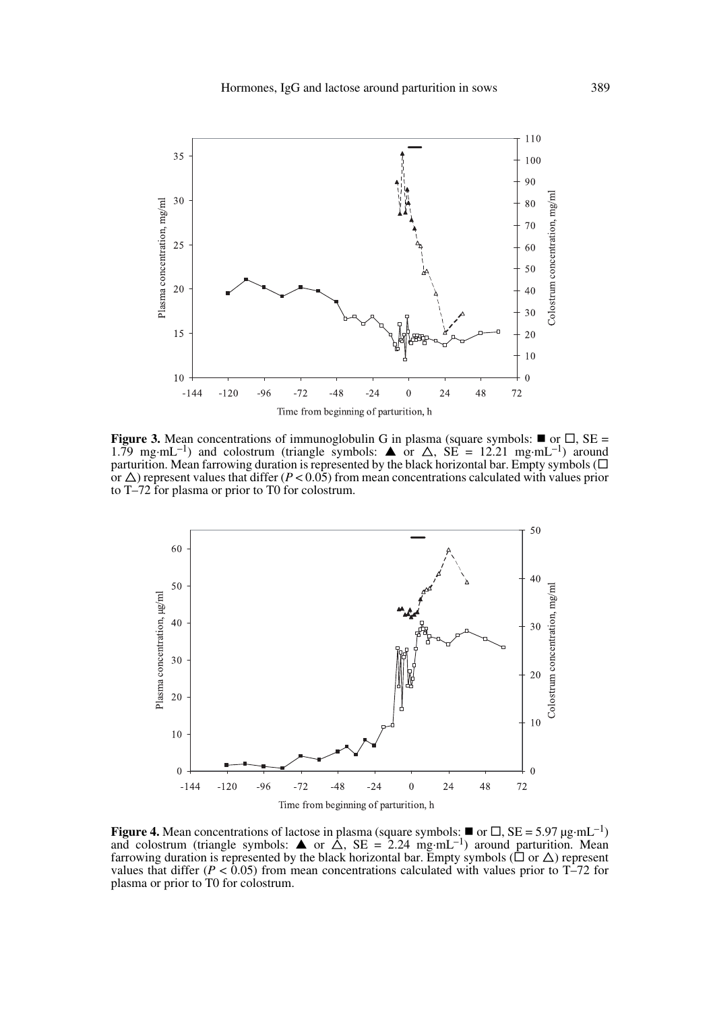

**Figure 3.** Mean concentrations of immunoglobulin G in plasma (square symbols:  $\blacksquare$  or  $\Box$ , SE = 1.79 mg·mL<sup>-1</sup>) and colostrum (triangle symbols:  $\triangle$  or  $\triangle$ , SE = 12.21 mg·mL<sup>-1</sup>) around parturition. Mean farrowing duration is represented by the black horizontal bar. Empty symbols  $(\Box$ or  $\Delta$ ) represent values that differ ( $P < 0.05$ ) from mean concentrations calculated with values prior to T–72 for plasma or prior to T0 for colostrum.



**Figure 4.** Mean concentrations of lactose in plasma (square symbols:  $\blacksquare$  or  $\Box$ , SE = 5.97 µg·mL<sup>-1</sup>) and colostrum (triangle symbols:  $\triangle$  or  $\triangle$ , SE = 2.24 mg·mL<sup>-1</sup>) around parturition. Mean farrowing duration is represented by the black horizontal bar. Empty symbols ( $\Box$  or  $\Delta$ ) represent values that differ ( $P < 0.05$ ) from mean concentrations calculated with values prior to T-72 for plasma or prior to T0 for colostrum.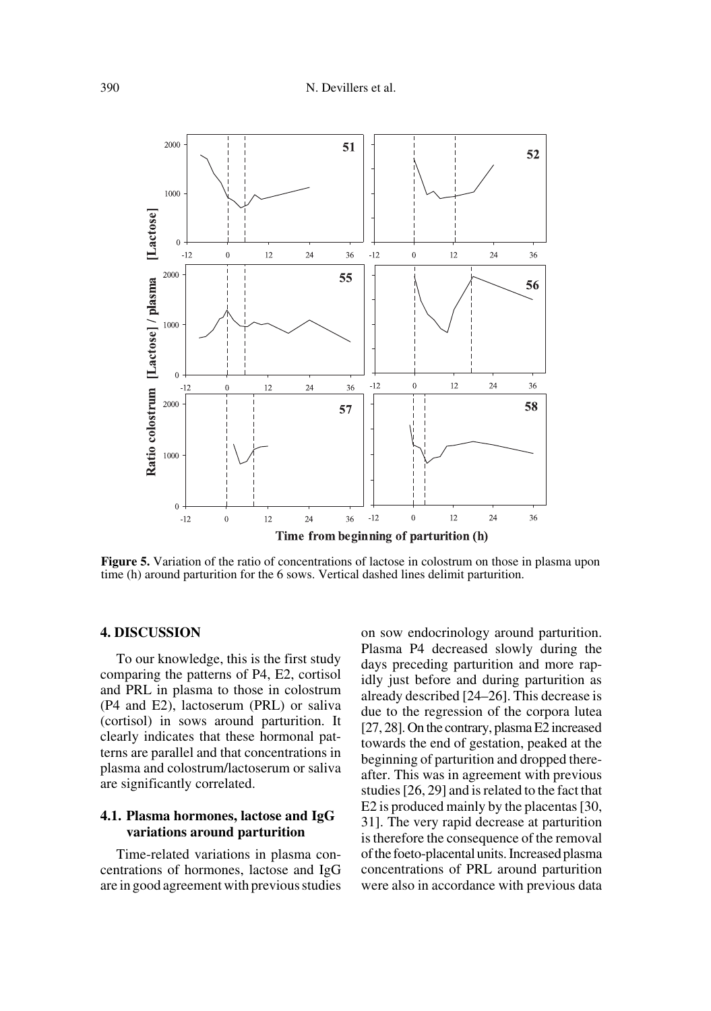

**Figure 5.** Variation of the ratio of concentrations of lactose in colostrum on those in plasma upon time (h) around parturition for the 6 sows. Vertical dashed lines delimit parturition.

## **4. DISCUSSION**

To our knowledge, this is the first study comparing the patterns of P4, E2, cortisol and PRL in plasma to those in colostrum (P4 and E2), lactoserum (PRL) or saliva (cortisol) in sows around parturition. It clearly indicates that these hormonal patterns are parallel and that concentrations in plasma and colostrum/lactoserum or saliva are significantly correlated.

## **4.1. Plasma hormones, lactose and IgG variations around parturition**

Time-related variations in plasma concentrations of hormones, lactose and IgG are in good agreement with previous studies on sow endocrinology around parturition. Plasma P4 decreased slowly during the days preceding parturition and more rapidly just before and during parturition as already described [24–26]. This decrease is due to the regression of the corpora lutea [27, 28]. On the contrary, plasma E2 increased towards the end of gestation, peaked at the beginning of parturition and dropped thereafter. This was in agreement with previous studies [26, 29] and is related to the fact that E2 is produced mainly by the placentas [30, 31]. The very rapid decrease at parturition is therefore the consequence of the removal of the foeto-placental units. Increased plasma concentrations of PRL around parturition were also in accordance with previous data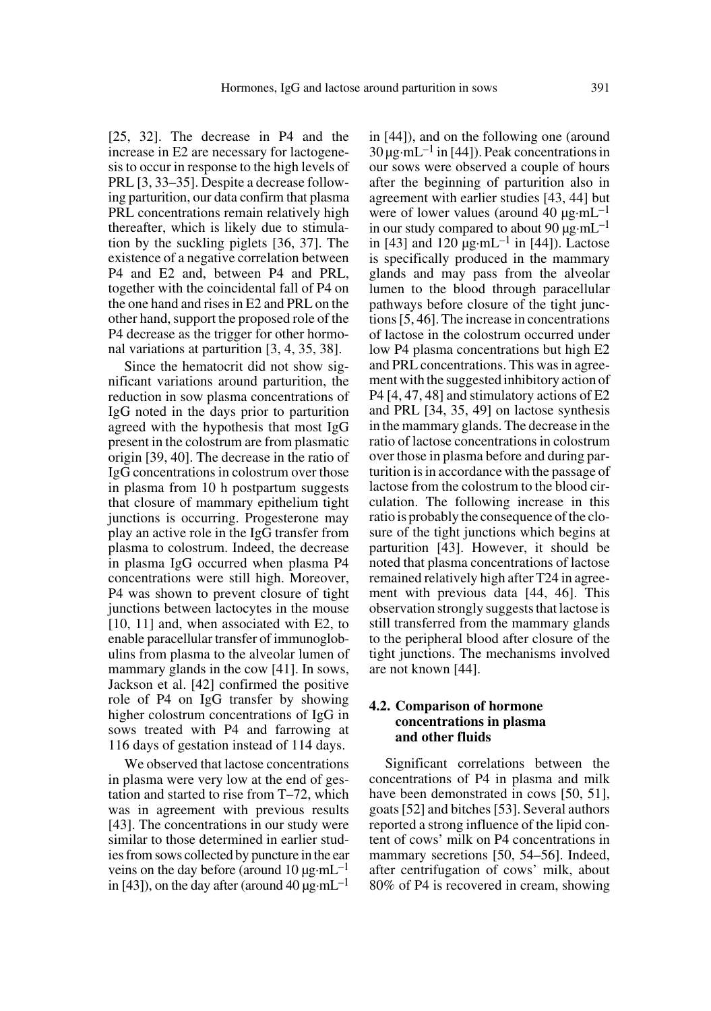[25, 32]. The decrease in P4 and the increase in E2 are necessary for lactogenesis to occur in response to the high levels of PRL [3, 33–35]. Despite a decrease following parturition, our data confirm that plasma PRL concentrations remain relatively high thereafter, which is likely due to stimulation by the suckling piglets [36, 37]. The existence of a negative correlation between P4 and E2 and, between P4 and PRL, together with the coincidental fall of P4 on the one hand and rises in E2 and PRL on the other hand, support the proposed role of the P4 decrease as the trigger for other hormonal variations at parturition [3, 4, 35, 38].

Since the hematocrit did not show significant variations around parturition, the reduction in sow plasma concentrations of IgG noted in the days prior to parturition agreed with the hypothesis that most IgG present in the colostrum are from plasmatic origin [39, 40]. The decrease in the ratio of IgG concentrations in colostrum over those in plasma from 10 h postpartum suggests that closure of mammary epithelium tight junctions is occurring. Progesterone may play an active role in the IgG transfer from plasma to colostrum. Indeed, the decrease in plasma IgG occurred when plasma P4 concentrations were still high. Moreover, P4 was shown to prevent closure of tight junctions between lactocytes in the mouse [10, 11] and, when associated with E2, to enable paracellular transfer of immunoglobulins from plasma to the alveolar lumen of mammary glands in the cow [41]. In sows, Jackson et al. [42] confirmed the positive role of P4 on IgG transfer by showing higher colostrum concentrations of IgG in sows treated with P4 and farrowing at 116 days of gestation instead of 114 days.

We observed that lactose concentrations in plasma were very low at the end of gestation and started to rise from T–72, which was in agreement with previous results [43]. The concentrations in our study were similar to those determined in earlier studies from sows collected by puncture in the ear veins on the day before (around 10  $\mu$ g·mL<sup>-1</sup> in [43]), on the day after (around 40  $\mu$ g·mL<sup>-1</sup> in [44]), and on the following one (around  $30 \mu$ g·mL<sup>-1</sup> in [44]). Peak concentrations in our sows were observed a couple of hours after the beginning of parturition also in agreement with earlier studies [43, 44] but were of lower values (around 40  $\mu$ g·mL<sup>-1</sup> in our study compared to about 90  $\mu$ g·mL<sup>-1</sup> in [43] and 120  $\mu$ g·mL<sup>-1</sup> in [44]). Lactose is specifically produced in the mammary glands and may pass from the alveolar lumen to the blood through paracellular pathways before closure of the tight junctions [5, 46]. The increase in concentrations of lactose in the colostrum occurred under low P4 plasma concentrations but high E2 and PRL concentrations. This was in agreement with the suggested inhibitory action of P4 [4, 47, 48] and stimulatory actions of E2 and PRL [34, 35, 49] on lactose synthesis in the mammary glands. The decrease in the ratio of lactose concentrations in colostrum over those in plasma before and during parturition is in accordance with the passage of lactose from the colostrum to the blood circulation. The following increase in this ratio is probably the consequence of the closure of the tight junctions which begins at parturition [43]. However, it should be noted that plasma concentrations of lactose remained relatively high after T24 in agreement with previous data [44, 46]. This observation strongly suggests that lactose is still transferred from the mammary glands to the peripheral blood after closure of the tight junctions. The mechanisms involved are not known [44].

## **4.2. Comparison of hormone concentrations in plasma and other fluids**

Significant correlations between the concentrations of P4 in plasma and milk have been demonstrated in cows [50, 51], goats [52] and bitches [53]. Several authors reported a strong influence of the lipid content of cows' milk on P4 concentrations in mammary secretions [50, 54–56]. Indeed, after centrifugation of cows' milk, about 80% of P4 is recovered in cream, showing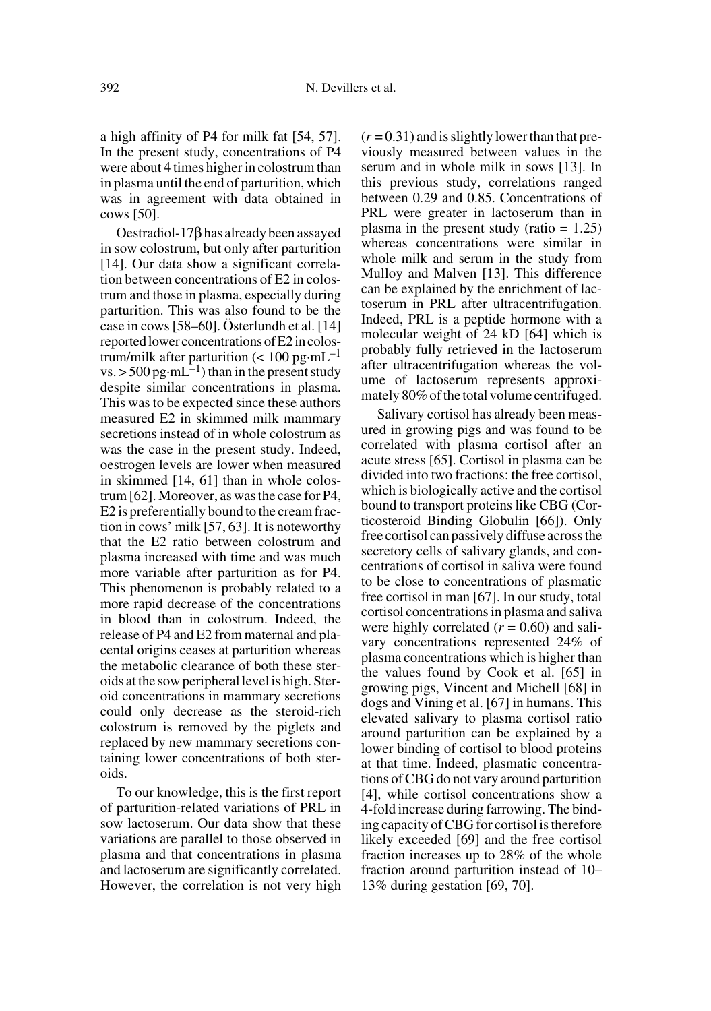a high affinity of P4 for milk fat [54, 57]. In the present study, concentrations of P4 were about 4 times higher in colostrum than in plasma until the end of parturition, which was in agreement with data obtained in cows [50].

Oestradiol-17β has already been assayed in sow colostrum, but only after parturition [14]. Our data show a significant correlation between concentrations of E2 in colostrum and those in plasma, especially during parturition. This was also found to be the case in cows [58–60]. Österlundh et al. [14] reported lower concentrations of E2 in colostrum/milk after parturition ( $< 100$  pg·mL<sup>-1</sup> vs.  $>$  500 pg·mL<sup>-1</sup>) than in the present study despite similar concentrations in plasma. This was to be expected since these authors measured E2 in skimmed milk mammary secretions instead of in whole colostrum as was the case in the present study. Indeed, oestrogen levels are lower when measured in skimmed [14, 61] than in whole colostrum [62]. Moreover, as was the case for P4, E2 is preferentially bound to the cream fraction in cows' milk [57, 63]. It is noteworthy that the E2 ratio between colostrum and plasma increased with time and was much more variable after parturition as for P4. This phenomenon is probably related to a more rapid decrease of the concentrations in blood than in colostrum. Indeed, the release of P4 and E2 from maternal and placental origins ceases at parturition whereas the metabolic clearance of both these steroids at the sow peripheral level is high. Steroid concentrations in mammary secretions could only decrease as the steroid-rich colostrum is removed by the piglets and replaced by new mammary secretions containing lower concentrations of both steroids.

To our knowledge, this is the first report of parturition-related variations of PRL in sow lactoserum. Our data show that these variations are parallel to those observed in plasma and that concentrations in plasma and lactoserum are significantly correlated. However, the correlation is not very high  $(r = 0.31)$  and is slightly lower than that previously measured between values in the serum and in whole milk in sows [13]. In this previous study, correlations ranged between 0.29 and 0.85. Concentrations of PRL were greater in lactoserum than in plasma in the present study (ratio  $= 1.25$ ) whereas concentrations were similar in whole milk and serum in the study from Mulloy and Malven [13]. This difference can be explained by the enrichment of lactoserum in PRL after ultracentrifugation. Indeed, PRL is a peptide hormone with a molecular weight of 24 kD [64] which is probably fully retrieved in the lactoserum after ultracentrifugation whereas the volume of lactoserum represents approximately 80% of the total volume centrifuged.

Salivary cortisol has already been measured in growing pigs and was found to be correlated with plasma cortisol after an acute stress [65]. Cortisol in plasma can be divided into two fractions: the free cortisol, which is biologically active and the cortisol bound to transport proteins like CBG (Corticosteroid Binding Globulin [66]). Only free cortisol can passively diffuse across the secretory cells of salivary glands, and concentrations of cortisol in saliva were found to be close to concentrations of plasmatic free cortisol in man [67]. In our study, total cortisol concentrations in plasma and saliva were highly correlated  $(r = 0.60)$  and salivary concentrations represented 24% of plasma concentrations which is higher than the values found by Cook et al. [65] in growing pigs, Vincent and Michell [68] in dogs and Vining et al. [67] in humans. This elevated salivary to plasma cortisol ratio around parturition can be explained by a lower binding of cortisol to blood proteins at that time. Indeed, plasmatic concentrations of CBG do not vary around parturition [4], while cortisol concentrations show a 4-fold increase during farrowing. The binding capacity of CBG for cortisol is therefore likely exceeded [69] and the free cortisol fraction increases up to 28% of the whole fraction around parturition instead of 10– 13% during gestation [69, 70].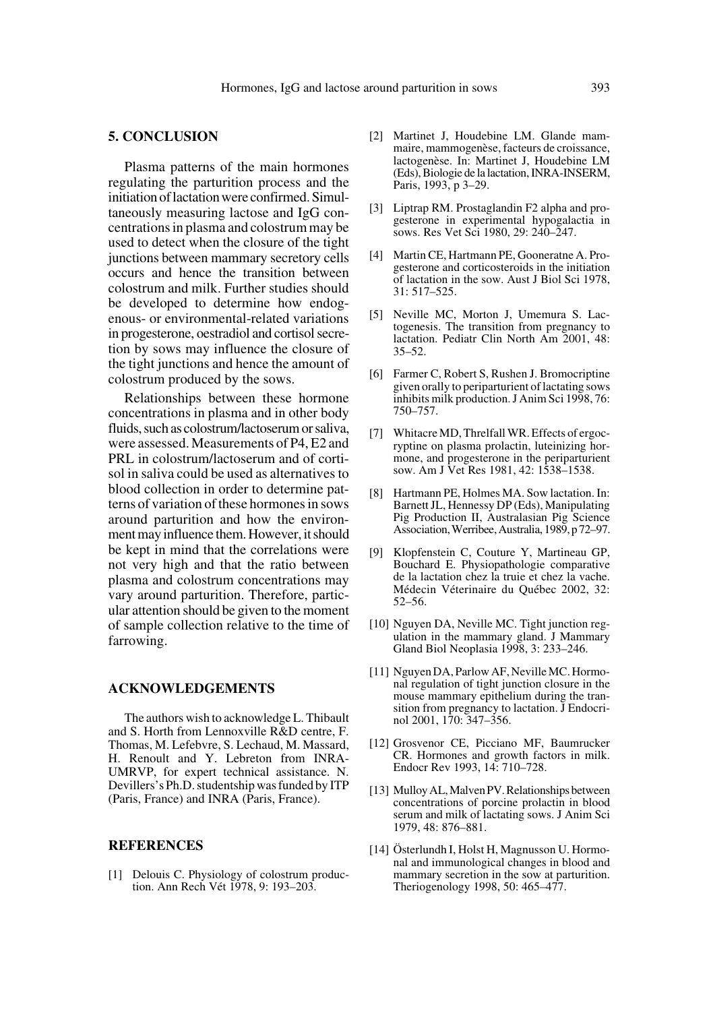## **5. CONCLUSION**

Plasma patterns of the main hormones regulating the parturition process and the initiation of lactation were confirmed. Simultaneously measuring lactose and IgG concentrations in plasma and colostrum may be used to detect when the closure of the tight junctions between mammary secretory cells occurs and hence the transition between colostrum and milk. Further studies should be developed to determine how endogenous- or environmental-related variations in progesterone, oestradiol and cortisol secretion by sows may influence the closure of the tight junctions and hence the amount of colostrum produced by the sows.

Relationships between these hormone concentrations in plasma and in other body fluids, such as colostrum/lactoserum or saliva, were assessed. Measurements of P4, E2 and PRL in colostrum/lactoserum and of cortisol in saliva could be used as alternatives to blood collection in order to determine patterns of variation of these hormones in sows around parturition and how the environment may influence them. However, it should be kept in mind that the correlations were not very high and that the ratio between plasma and colostrum concentrations may vary around parturition. Therefore, particular attention should be given to the moment of sample collection relative to the time of farrowing.

## **ACKNOWLEDGEMENTS**

The authors wish to acknowledge L. Thibault and S. Horth from Lennoxville R&D centre, F. Thomas, M. Lefebvre, S. Lechaud, M. Massard, H. Renoult and Y. Lebreton from INRA-UMRVP, for expert technical assistance. N. Devillers's Ph.D. studentship was funded by ITP (Paris, France) and INRA (Paris, France).

#### **REFERENCES**

[1] Delouis C. Physiology of colostrum production. Ann Rech Vét 1978, 9: 193–203.

- [2] Martinet J, Houdebine LM. Glande mammaire, mammogenèse, facteurs de croissance, lactogenèse. In: Martinet J, Houdebine LM (Eds), Biologie de la lactation, INRA-INSERM, Paris, 1993, p 3–29.
- [3] Liptrap RM. Prostaglandin F2 alpha and progesterone in experimental hypogalactia in sows. Res Vet Sci 1980, 29: 240–247.
- [4] Martin CE, Hartmann PE, Gooneratne A. Progesterone and corticosteroids in the initiation of lactation in the sow. Aust J Biol Sci 1978, 31: 517–525.
- [5] Neville MC, Morton J, Umemura S. Lactogenesis. The transition from pregnancy to lactation. Pediatr Clin North Am 2001, 48: 35–52.
- [6] Farmer C, Robert S, Rushen J. Bromocriptine given orally to periparturient of lactating sows inhibits milk production. J Anim Sci 1998, 76: 750–757.
- [7] Whitacre MD, Threlfall WR. Effects of ergocryptine on plasma prolactin, luteinizing hormone, and progesterone in the periparturient sow. Am J Vet Res 1981, 42: 1538–1538.
- [8] Hartmann PE, Holmes MA. Sow lactation. In: Barnett JL, Hennessy DP (Eds), Manipulating Pig Production II, Australasian Pig Science Association, Werribee, Australia, 1989, p 72–97.
- [9] Klopfenstein C, Couture Y, Martineau GP, Bouchard E. Physiopathologie comparative de la lactation chez la truie et chez la vache. Médecin Véterinaire du Québec 2002, 32: 52–56.
- [10] Nguyen DA, Neville MC. Tight junction regulation in the mammary gland. J Mammary Gland Biol Neoplasia 1998, 3: 233–246.
- [11] Nguyen DA, Parlow AF, Neville MC. Hormonal regulation of tight junction closure in the mouse mammary epithelium during the transition from pregnancy to lactation. J Endocrinol 2001, 170: 347–356.
- [12] Grosvenor CE, Picciano MF, Baumrucker CR. Hormones and growth factors in milk. Endocr Rev 1993, 14: 710–728.
- [13] Mulloy AL, Malven PV. Relationships between concentrations of porcine prolactin in blood serum and milk of lactating sows. J Anim Sci 1979, 48: 876–881.
- [14] Österlundh I, Holst H, Magnusson U. Hormonal and immunological changes in blood and mammary secretion in the sow at parturition. Theriogenology 1998, 50: 465–477.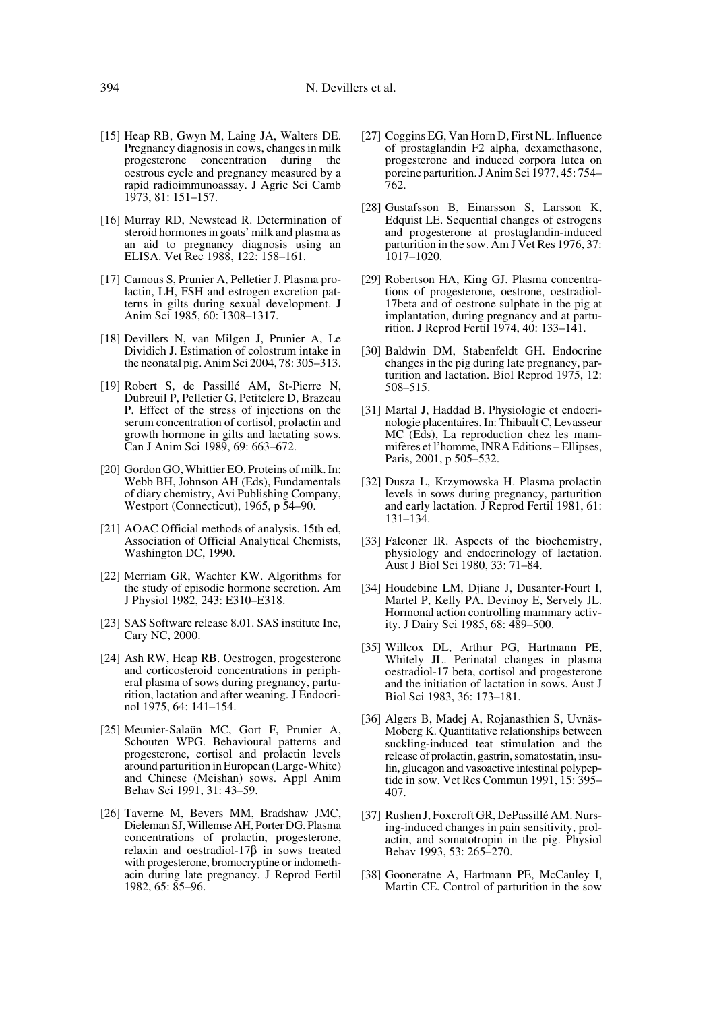- [15] Heap RB, Gwyn M, Laing JA, Walters DE. Pregnancy diagnosis in cows, changes in milk progesterone concentration during the oestrous cycle and pregnancy measured by a rapid radioimmunoassay. J Agric Sci Camb 1973, 81: 151–157.
- [16] Murray RD, Newstead R. Determination of steroid hormones in goats' milk and plasma as an aid to pregnancy diagnosis using an ELISA. Vet Rec 1988, 122: 158–161.
- [17] Camous S, Prunier A, Pelletier J. Plasma prolactin, LH, FSH and estrogen excretion patterns in gilts during sexual development. J Anim Sci 1985, 60: 1308–1317.
- [18] Devillers N, van Milgen J, Prunier A, Le Dividich J. Estimation of colostrum intake in the neonatal pig. Anim Sci 2004, 78: 305–313.
- [19] Robert S, de Passillé AM, St-Pierre N, Dubreuil P, Pelletier G, Petitclerc D, Brazeau P. Effect of the stress of injections on the serum concentration of cortisol, prolactin and growth hormone in gilts and lactating sows. Can J Anim Sci 1989, 69: 663–672.
- [20] Gordon GO, Whittier EO. Proteins of milk. In: Webb BH, Johnson AH (Eds), Fundamentals of diary chemistry, Avi Publishing Company, Westport (Connecticut), 1965, p 54–90.
- [21] AOAC Official methods of analysis. 15th ed, Association of Official Analytical Chemists, Washington DC, 1990.
- [22] Merriam GR, Wachter KW. Algorithms for the study of episodic hormone secretion. Am J Physiol 1982, 243: E310–E318.
- [23] SAS Software release 8.01. SAS institute Inc, Cary NC, 2000.
- [24] Ash RW, Heap RB. Oestrogen, progesterone and corticosteroid concentrations in peripheral plasma of sows during pregnancy, parturition, lactation and after weaning. J Endocrinol 1975, 64: 141–154.
- [25] Meunier-Salaün MC, Gort F, Prunier A, Schouten WPG. Behavioural patterns and progesterone, cortisol and prolactin levels around parturition in European (Large-White) and Chinese (Meishan) sows. Appl Anim Behav Sci 1991, 31: 43–59.
- [26] Taverne M, Bevers MM, Bradshaw JMC, Dieleman SJ, Willemse AH, Porter DG. Plasma concentrations of prolactin, progesterone, relaxin and oestradiol-17β in sows treated with progesterone, bromocryptine or indomethacin during late pregnancy. J Reprod Fertil 1982, 65: 85–96.
- [27] Coggins EG, Van Horn D, First NL. Influence of prostaglandin F2 alpha, dexamethasone, progesterone and induced corpora lutea on porcine parturition. J Anim Sci 1977, 45: 754– 762.
- [28] Gustafsson B, Einarsson S, Larsson K, Edquist LE. Sequential changes of estrogens and progesterone at prostaglandin-induced parturition in the sow. Am J Vet Res 1976, 37: 1017–1020.
- [29] Robertson HA, King GJ. Plasma concentrations of progesterone, oestrone, oestradiol-17beta and of oestrone sulphate in the pig at implantation, during pregnancy and at parturition. J Reprod Fertil 1974, 40: 133–141.
- [30] Baldwin DM, Stabenfeldt GH. Endocrine changes in the pig during late pregnancy, parturition and lactation. Biol Reprod 1975, 12: 508–515.
- [31] Martal J, Haddad B. Physiologie et endocrinologie placentaires. In: Thibault C, Levasseur MC (Eds), La reproduction chez les mammifères et l'homme, INRA Editions – Ellipses, Paris, 2001, p 505–532.
- [32] Dusza L, Krzymowska H. Plasma prolactin levels in sows during pregnancy, parturition and early lactation. J Reprod Fertil 1981, 61: 131–134.
- [33] Falconer IR. Aspects of the biochemistry, physiology and endocrinology of lactation. Aust J Biol Sci 1980, 33: 71–84.
- [34] Houdebine LM, Djiane J, Dusanter-Fourt I, Martel P, Kelly PA. Devinoy E, Servely JL. Hormonal action controlling mammary activity. J Dairy Sci 1985, 68: 489–500.
- [35] Willcox DL, Arthur PG, Hartmann PE, Whitely JL. Perinatal changes in plasma oestradiol-17 beta, cortisol and progesterone and the initiation of lactation in sows. Aust J Biol Sci 1983, 36: 173–181.
- [36] Algers B, Madej A, Rojanasthien S, Uvnäs-Moberg K. Quantitative relationships between suckling-induced teat stimulation and the release of prolactin, gastrin, somatostatin, insulin, glucagon and vasoactive intestinal polypeptide in sow. Vet Res Commun 1991, 15: 395– 407.
- [37] Rushen J, Foxcroft GR, DePassillé AM. Nursing-induced changes in pain sensitivity, prolactin, and somatotropin in the pig. Physiol Behav 1993, 53: 265–270.
- [38] Gooneratne A, Hartmann PE, McCauley I, Martin CE. Control of parturition in the sow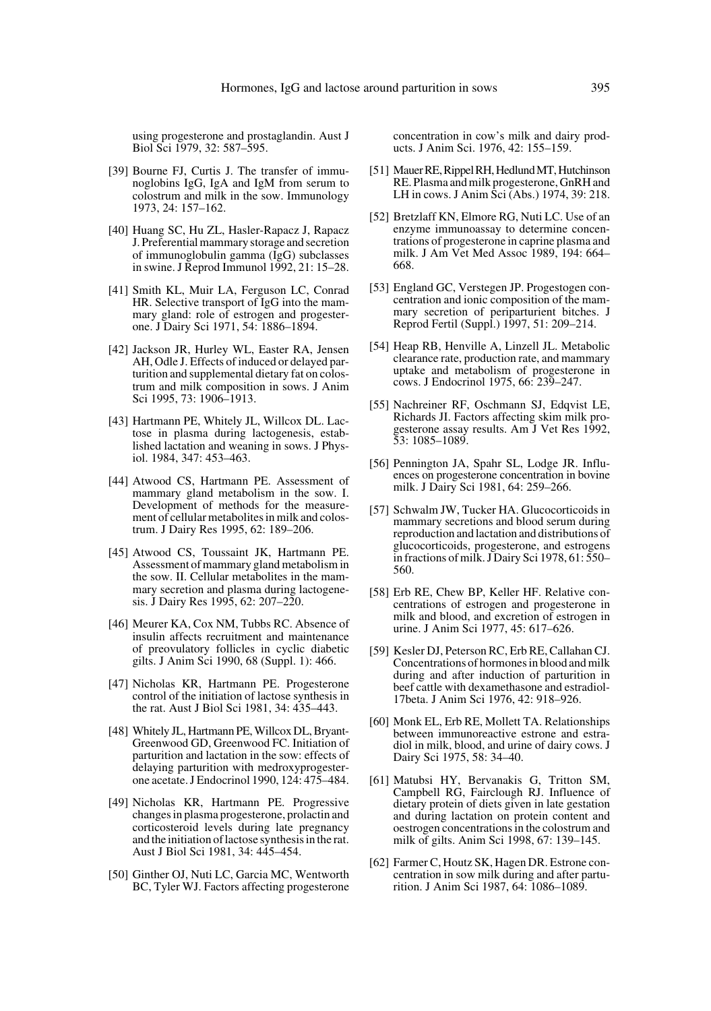using progesterone and prostaglandin. Aust J Biol Sci 1979, 32: 587–595.

- [39] Bourne FJ, Curtis J. The transfer of immunoglobins IgG, IgA and IgM from serum to colostrum and milk in the sow. Immunology 1973, 24: 157–162.
- [40] Huang SC, Hu ZL, Hasler-Rapacz J, Rapacz J. Preferential mammary storage and secretion of immunoglobulin gamma (IgG) subclasses in swine. J Reprod Immunol 1992, 21: 15–28.
- [41] Smith KL, Muir LA, Ferguson LC, Conrad HR. Selective transport of IgG into the mammary gland: role of estrogen and progesterone. J Dairy Sci 1971, 54: 1886–1894.
- [42] Jackson JR, Hurley WL, Easter RA, Jensen AH, Odle J. Effects of induced or delayed parturition and supplemental dietary fat on colostrum and milk composition in sows. J Anim Sci 1995, 73: 1906–1913.
- [43] Hartmann PE, Whitely JL, Willcox DL. Lactose in plasma during lactogenesis, established lactation and weaning in sows. J Physiol. 1984, 347: 453–463.
- [44] Atwood CS, Hartmann PE. Assessment of mammary gland metabolism in the sow. I. Development of methods for the measurement of cellular metabolites in milk and colostrum. J Dairy Res 1995, 62: 189–206.
- [45] Atwood CS, Toussaint JK, Hartmann PE. Assessment of mammary gland metabolism in the sow. II. Cellular metabolites in the mammary secretion and plasma during lactogenesis. J Dairy Res 1995, 62: 207–220.
- [46] Meurer KA, Cox NM, Tubbs RC. Absence of insulin affects recruitment and maintenance of preovulatory follicles in cyclic diabetic gilts. J Anim Sci 1990, 68 (Suppl. 1): 466.
- [47] Nicholas KR, Hartmann PE. Progesterone control of the initiation of lactose synthesis in the rat. Aust J Biol Sci 1981, 34: 435–443.
- [48] Whitely JL, Hartmann PE, Willcox DL, Bryant-Greenwood GD, Greenwood FC. Initiation of parturition and lactation in the sow: effects of delaying parturition with medroxyprogesterone acetate. J Endocrinol 1990, 124: 475–484.
- [49] Nicholas KR, Hartmann PE. Progressive changes in plasma progesterone, prolactin and corticosteroid levels during late pregnancy and the initiation of lactose synthesis in the rat. Aust J Biol Sci 1981, 34: 445–454.
- [50] Ginther OJ, Nuti LC, Garcia MC, Wentworth BC, Tyler WJ. Factors affecting progesterone

concentration in cow's milk and dairy products. J Anim Sci. 1976, 42: 155–159.

- [51] Mauer RE, Rippel RH, Hedlund MT, Hutchinson RE. Plasma and milk progesterone, GnRH and LH in cows. J Anim Sci (Abs.) 1974, 39: 218.
- [52] Bretzlaff KN, Elmore RG, Nuti LC. Use of an enzyme immunoassay to determine concentrations of progesterone in caprine plasma and milk. J Am Vet Med Assoc 1989, 194: 664– 668.
- [53] England GC, Verstegen JP. Progestogen concentration and ionic composition of the mammary secretion of periparturient bitches. J Reprod Fertil (Suppl.) 1997, 51: 209–214.
- [54] Heap RB, Henville A, Linzell JL. Metabolic clearance rate, production rate, and mammary uptake and metabolism of progesterone in cows. J Endocrinol 1975, 66: 239–247.
- [55] Nachreiner RF, Oschmann SJ, Edqvist LE, Richards JI. Factors affecting skim milk progesterone assay results. Am J Vet Res 1992, 53: 1085–1089.
- [56] Pennington JA, Spahr SL, Lodge JR. Influences on progesterone concentration in bovine milk. J Dairy Sci 1981, 64: 259–266.
- [57] Schwalm JW, Tucker HA. Glucocorticoids in mammary secretions and blood serum during reproduction and lactation and distributions of glucocorticoids, progesterone, and estrogens in fractions of milk. J Dairy Sci 1978, 61: 550– 560.
- [58] Erb RE, Chew BP, Keller HF. Relative concentrations of estrogen and progesterone in milk and blood, and excretion of estrogen in urine. J Anim Sci 1977, 45: 617–626.
- [59] Kesler DJ, Peterson RC, Erb RE, Callahan CJ. Concentrations of hormones in blood and milk during and after induction of parturition in beef cattle with dexamethasone and estradiol-17beta. J Anim Sci 1976, 42: 918–926.
- [60] Monk EL, Erb RE, Mollett TA. Relationships between immunoreactive estrone and estradiol in milk, blood, and urine of dairy cows. J Dairy Sci 1975, 58: 34–40.
- [61] Matubsi HY, Bervanakis G, Tritton SM, Campbell RG, Fairclough RJ. Influence of dietary protein of diets given in late gestation and during lactation on protein content and oestrogen concentrations in the colostrum and milk of gilts. Anim Sci 1998, 67: 139–145.
- [62] Farmer C, Houtz SK, Hagen DR. Estrone concentration in sow milk during and after parturition. J Anim Sci 1987, 64: 1086–1089.